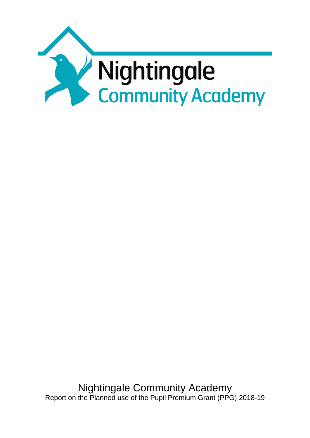

Nightingale Community Academy Report on the Planned use of the Pupil Premium Grant (PPG) 2018-19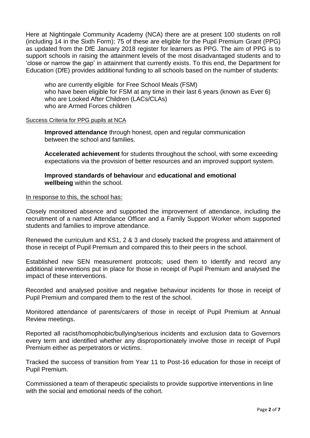Here at Nightingale Community Academy (NCA) there are at present 100 students on roll (including 14 in the Sixth Form); 75 of these are eligible for the Pupil Premium Grant (PPG) as updated from the DfE January 2018 register for learners as PPG. The aim of PPG is to support schools in raising the attainment levels of the most disadvantaged students and to 'close or narrow the gap' in attainment that currently exists. To this end, the Department for Education (DfE) provides additional funding to all schools based on the number of students:

who are currently eligible for Free School Meals (FSM) who have been eligible for FSM at any time in their last 6 years (known as Ever 6) who are Looked After Children (LACs/CLAs) who are Armed Forces children

#### Success Criteria for PPG pupils at NCA

**Improved attendance** through honest, open and regular communication between the school and families.

**Accelerated achievement** for students throughout the school, with some exceeding expectations via the provision of better resources and an improved support system.

**Improved standards of behaviour** and **educational and emotional wellbeing** within the school.

#### In response to this, the school has:

Closely monitored absence and supported the improvement of attendance, including the recruitment of a named Attendance Officer and a Family Support Worker whom supported students and families to improve attendance.

Renewed the curriculum and KS1, 2 & 3 and closely tracked the progress and attainment of those in receipt of Pupil Premium and compared this to their peers in the school.

Established new SEN measurement protocols; used them to Identify and record any additional interventions put in place for those in receipt of Pupil Premium and analysed the impact of these interventions.

Recorded and analysed positive and negative behaviour incidents for those in receipt of Pupil Premium and compared them to the rest of the school.

Monitored attendance of parents/carers of those in receipt of Pupil Premium at Annual Review meetings.

Reported all racist/homophobic/bullying/serious incidents and exclusion data to Governors every term and identified whether any disproportionately involve those in receipt of Pupil Premium either as perpetrators or victims.

Tracked the success of transition from Year 11 to Post-16 education for those in receipt of Pupil Premium.

Commissioned a team of therapeutic specialists to provide supportive interventions in line with the social and emotional needs of the cohort.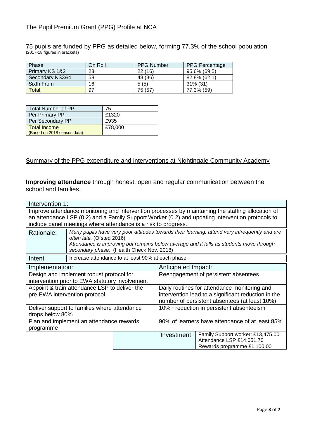# The Pupil Premium Grant (PPG) Profile at NCA

75 pupils are funded by PPG as detailed below, forming 77.3% of the school population (2017-18 figures in brackets)

| Phase           | On Roll | <b>PPG Number</b> | <b>PPG Percentage</b> |
|-----------------|---------|-------------------|-----------------------|
| Primary KS 1&2  | 23      | 22(16)            | $95.6\%$ (69.5)       |
| Secondary KS3&4 | 58      | 48 (36)           | 82.8% (62.1)          |
| Sixth From      | 16      | 5(5)              | $31\%$ (31)           |
| Total:          | 97      | 75 (57)           | 77.3% (59)            |

| Total Number of PP          | 75      |
|-----------------------------|---------|
| Per Primary PP              | £1320   |
| Per Secondary PP            | £935    |
| l Total Income              | £78,000 |
| (Based on 2018 census data) |         |

### Summary of the PPG expenditure and interventions at Nightingale Community Academy

**Improving attendance** through honest, open and regular communication between the school and families.

|                                                                                                                                                                                                                                                                          | Intervention 1:                                                                                                                                                                                                                                                    |                                                 |                                                                                                                                                      |                                                                                               |  |  |  |
|--------------------------------------------------------------------------------------------------------------------------------------------------------------------------------------------------------------------------------------------------------------------------|--------------------------------------------------------------------------------------------------------------------------------------------------------------------------------------------------------------------------------------------------------------------|-------------------------------------------------|------------------------------------------------------------------------------------------------------------------------------------------------------|-----------------------------------------------------------------------------------------------|--|--|--|
| Improve attendance monitoring and intervention processes by maintaining the staffing allocation of<br>an attendance LSP (0.2) and a Family Support Worker (0.2) and updating intervention protocols to<br>include panel meetings where attendance is a risk to progress. |                                                                                                                                                                                                                                                                    |                                                 |                                                                                                                                                      |                                                                                               |  |  |  |
| Rationale:                                                                                                                                                                                                                                                               | Many pupils have very poor attitudes towards their learning, attend very infrequently and are<br>often late. (Ofsted 2016)<br>Attendance is improving but remains below average and it falls as students move through<br>secondary phase. (Health Check Nov. 2018) |                                                 |                                                                                                                                                      |                                                                                               |  |  |  |
| Intent                                                                                                                                                                                                                                                                   | Increase attendance to at least 90% at each phase                                                                                                                                                                                                                  |                                                 |                                                                                                                                                      |                                                                                               |  |  |  |
| Implementation:                                                                                                                                                                                                                                                          |                                                                                                                                                                                                                                                                    |                                                 | Anticipated Impact:                                                                                                                                  |                                                                                               |  |  |  |
| Design and implement robust protocol for<br>intervention prior to EWA statutory involvement                                                                                                                                                                              |                                                                                                                                                                                                                                                                    |                                                 | Reengagement of persistent absentees                                                                                                                 |                                                                                               |  |  |  |
|                                                                                                                                                                                                                                                                          | Appoint & train attendance LSP to deliver the<br>pre-EWA intervention protocol                                                                                                                                                                                     |                                                 | Daily routines for attendance monitoring and<br>intervention lead to a significant reduction in the<br>number of persistent absentees (at least 10%) |                                                                                               |  |  |  |
| Deliver support to families where attendance<br>drops below 80%                                                                                                                                                                                                          |                                                                                                                                                                                                                                                                    |                                                 | 10%+ reduction in persistent absenteeism                                                                                                             |                                                                                               |  |  |  |
| Plan and implement an attendance rewards<br>programme                                                                                                                                                                                                                    |                                                                                                                                                                                                                                                                    | 90% of learners have attendance of at least 85% |                                                                                                                                                      |                                                                                               |  |  |  |
|                                                                                                                                                                                                                                                                          |                                                                                                                                                                                                                                                                    |                                                 | Investment:                                                                                                                                          | Family Support worker: £13,475.00<br>Attendance LSP £14,051.70<br>Rewards programme £1,100.00 |  |  |  |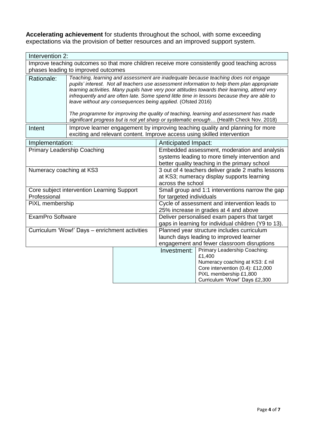**Accelerating achievement** for students throughout the school, with some exceeding expectations via the provision of better resources and an improved support system.

| Intervention 2:                                                                                |                                                                                                                                                                                                                                                                                                                                                                                                                                                                                                                                                                                                                                     |                                                                                                                                                            |                                                      |                                                         |  |  |  |
|------------------------------------------------------------------------------------------------|-------------------------------------------------------------------------------------------------------------------------------------------------------------------------------------------------------------------------------------------------------------------------------------------------------------------------------------------------------------------------------------------------------------------------------------------------------------------------------------------------------------------------------------------------------------------------------------------------------------------------------------|------------------------------------------------------------------------------------------------------------------------------------------------------------|------------------------------------------------------|---------------------------------------------------------|--|--|--|
| Improve teaching outcomes so that more children receive more consistently good teaching across |                                                                                                                                                                                                                                                                                                                                                                                                                                                                                                                                                                                                                                     |                                                                                                                                                            |                                                      |                                                         |  |  |  |
| phases leading to improved outcomes                                                            |                                                                                                                                                                                                                                                                                                                                                                                                                                                                                                                                                                                                                                     |                                                                                                                                                            |                                                      |                                                         |  |  |  |
| Rationale:                                                                                     | Teaching, learning and assessment are inadequate because teaching does not engage<br>pupils' interest. Not all teachers use assessment information to help them plan appropriate<br>learning activities. Many pupils have very poor attitudes towards their learning, attend very<br>infrequently and are often late. Some spend little time in lessons because they are able to<br>leave without any consequences being applied. (Ofsted 2016)<br>The programme for improving the quality of teaching, learning and assessment has made<br>significant progress but is not yet sharp or systematic enough (Health Check Nov. 2018) |                                                                                                                                                            |                                                      |                                                         |  |  |  |
| Intent                                                                                         |                                                                                                                                                                                                                                                                                                                                                                                                                                                                                                                                                                                                                                     | Improve learner engagement by improving teaching quality and planning for more<br>exciting and relevant content. Improve access using skilled intervention |                                                      |                                                         |  |  |  |
| Implementation:                                                                                |                                                                                                                                                                                                                                                                                                                                                                                                                                                                                                                                                                                                                                     |                                                                                                                                                            | Anticipated Impact:                                  |                                                         |  |  |  |
| <b>Primary Leadership Coaching</b>                                                             |                                                                                                                                                                                                                                                                                                                                                                                                                                                                                                                                                                                                                                     |                                                                                                                                                            | Embedded assessment, moderation and analysis         |                                                         |  |  |  |
|                                                                                                |                                                                                                                                                                                                                                                                                                                                                                                                                                                                                                                                                                                                                                     |                                                                                                                                                            | systems leading to more timely intervention and      |                                                         |  |  |  |
|                                                                                                |                                                                                                                                                                                                                                                                                                                                                                                                                                                                                                                                                                                                                                     |                                                                                                                                                            | better quality teaching in the primary school        |                                                         |  |  |  |
| Numeracy coaching at KS3                                                                       |                                                                                                                                                                                                                                                                                                                                                                                                                                                                                                                                                                                                                                     |                                                                                                                                                            | 3 out of 4 teachers deliver grade 2 maths lessons    |                                                         |  |  |  |
|                                                                                                |                                                                                                                                                                                                                                                                                                                                                                                                                                                                                                                                                                                                                                     |                                                                                                                                                            | across the school                                    | at KS3; numeracy display supports learning              |  |  |  |
|                                                                                                | Core subject intervention Learning Support                                                                                                                                                                                                                                                                                                                                                                                                                                                                                                                                                                                          |                                                                                                                                                            |                                                      | Small group and 1:1 interventions narrow the gap        |  |  |  |
| Professional                                                                                   |                                                                                                                                                                                                                                                                                                                                                                                                                                                                                                                                                                                                                                     |                                                                                                                                                            | for targeted individuals                             |                                                         |  |  |  |
| PiXL membership                                                                                |                                                                                                                                                                                                                                                                                                                                                                                                                                                                                                                                                                                                                                     |                                                                                                                                                            | Cycle of assessment and intervention leads to        |                                                         |  |  |  |
|                                                                                                |                                                                                                                                                                                                                                                                                                                                                                                                                                                                                                                                                                                                                                     |                                                                                                                                                            | 25% increase in grades at 4 and above                |                                                         |  |  |  |
| <b>ExamPro Software</b>                                                                        |                                                                                                                                                                                                                                                                                                                                                                                                                                                                                                                                                                                                                                     |                                                                                                                                                            | Deliver personalised exam papers that target         |                                                         |  |  |  |
|                                                                                                |                                                                                                                                                                                                                                                                                                                                                                                                                                                                                                                                                                                                                                     |                                                                                                                                                            | gaps in learning for individual children (Y9 to 13). |                                                         |  |  |  |
|                                                                                                | Curriculum 'Wow!' Days - enrichment activities                                                                                                                                                                                                                                                                                                                                                                                                                                                                                                                                                                                      |                                                                                                                                                            | Planned year structure includes curriculum           |                                                         |  |  |  |
|                                                                                                |                                                                                                                                                                                                                                                                                                                                                                                                                                                                                                                                                                                                                                     | launch days leading to improved learner<br>engagement and fewer classroom disruptions                                                                      |                                                      |                                                         |  |  |  |
|                                                                                                |                                                                                                                                                                                                                                                                                                                                                                                                                                                                                                                                                                                                                                     |                                                                                                                                                            | Investment:                                          | Primary Leadership Coaching:                            |  |  |  |
|                                                                                                |                                                                                                                                                                                                                                                                                                                                                                                                                                                                                                                                                                                                                                     |                                                                                                                                                            |                                                      | £1,400                                                  |  |  |  |
|                                                                                                |                                                                                                                                                                                                                                                                                                                                                                                                                                                                                                                                                                                                                                     |                                                                                                                                                            |                                                      | Numeracy coaching at KS3: £ nil                         |  |  |  |
|                                                                                                |                                                                                                                                                                                                                                                                                                                                                                                                                                                                                                                                                                                                                                     |                                                                                                                                                            |                                                      | Core intervention (0.4): £12,000                        |  |  |  |
|                                                                                                |                                                                                                                                                                                                                                                                                                                                                                                                                                                                                                                                                                                                                                     |                                                                                                                                                            |                                                      | PiXL membership £1,800<br>Curriculum 'Wow!' Days £2,300 |  |  |  |
|                                                                                                |                                                                                                                                                                                                                                                                                                                                                                                                                                                                                                                                                                                                                                     |                                                                                                                                                            |                                                      |                                                         |  |  |  |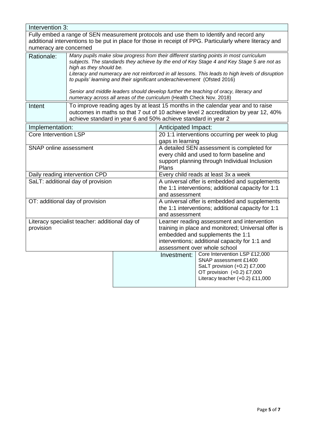|                                                                                                                                                                                                                                | Intervention 3:                                                                                                                                                                                                                                                                                                                                                                                                                                                                                                                                                |                                                                                                                                                                                                                          |                                                                                                                                                         |                                      |  |  |  |  |
|--------------------------------------------------------------------------------------------------------------------------------------------------------------------------------------------------------------------------------|----------------------------------------------------------------------------------------------------------------------------------------------------------------------------------------------------------------------------------------------------------------------------------------------------------------------------------------------------------------------------------------------------------------------------------------------------------------------------------------------------------------------------------------------------------------|--------------------------------------------------------------------------------------------------------------------------------------------------------------------------------------------------------------------------|---------------------------------------------------------------------------------------------------------------------------------------------------------|--------------------------------------|--|--|--|--|
| Fully embed a range of SEN measurement protocols and use them to Identify and record any<br>additional interventions to be put in place for those in receipt of PPG. Particularly where literacy and<br>numeracy are concerned |                                                                                                                                                                                                                                                                                                                                                                                                                                                                                                                                                                |                                                                                                                                                                                                                          |                                                                                                                                                         |                                      |  |  |  |  |
| Rationale:                                                                                                                                                                                                                     | Many pupils make slow progress from their different starting points in most curriculum<br>subjects. The standards they achieve by the end of Key Stage 4 and Key Stage 5 are not as<br>high as they should be.<br>Literacy and numeracy are not reinforced in all lessons. This leads to high levels of disruption<br>to pupils' learning and their significant underachievement (Ofsted 2016)<br>Senior and middle leaders should develop further the teaching of oracy, literacy and<br>numeracy across all areas of the curriculum (Health Check Nov. 2018) |                                                                                                                                                                                                                          |                                                                                                                                                         |                                      |  |  |  |  |
| Intent                                                                                                                                                                                                                         | To improve reading ages by at least 15 months in the calendar year and to raise<br>outcomes in maths so that 7 out of 10 achieve level 2 accreditation by year 12, 40%<br>achieve standard in year 6 and 50% achieve standard in year 2                                                                                                                                                                                                                                                                                                                        |                                                                                                                                                                                                                          |                                                                                                                                                         |                                      |  |  |  |  |
| Implementation:                                                                                                                                                                                                                |                                                                                                                                                                                                                                                                                                                                                                                                                                                                                                                                                                |                                                                                                                                                                                                                          | Anticipated Impact:                                                                                                                                     |                                      |  |  |  |  |
| Core Intervention LSP                                                                                                                                                                                                          |                                                                                                                                                                                                                                                                                                                                                                                                                                                                                                                                                                |                                                                                                                                                                                                                          | 20 1:1 interventions occurring per week to plug<br>gaps in learning                                                                                     |                                      |  |  |  |  |
| <b>SNAP</b> online assessment                                                                                                                                                                                                  |                                                                                                                                                                                                                                                                                                                                                                                                                                                                                                                                                                | A detailed SEN assessment is completed for<br>every child and used to form baseline and<br>support planning through Individual Inclusion<br>Plans                                                                        |                                                                                                                                                         |                                      |  |  |  |  |
|                                                                                                                                                                                                                                | Daily reading intervention CPD                                                                                                                                                                                                                                                                                                                                                                                                                                                                                                                                 |                                                                                                                                                                                                                          |                                                                                                                                                         | Every child reads at least 3x a week |  |  |  |  |
| SaLT: additional day of provision                                                                                                                                                                                              |                                                                                                                                                                                                                                                                                                                                                                                                                                                                                                                                                                | A universal offer is embedded and supplements<br>the 1:1 interventions; additional capacity for 1:1<br>and assessment                                                                                                    |                                                                                                                                                         |                                      |  |  |  |  |
| OT: additional day of provision                                                                                                                                                                                                |                                                                                                                                                                                                                                                                                                                                                                                                                                                                                                                                                                |                                                                                                                                                                                                                          | A universal offer is embedded and supplements<br>the 1:1 interventions; additional capacity for 1:1<br>and assessment                                   |                                      |  |  |  |  |
| Literacy specialist teacher: additional day of<br>provision                                                                                                                                                                    |                                                                                                                                                                                                                                                                                                                                                                                                                                                                                                                                                                | Learner reading assessment and intervention<br>training in place and monitored; Universal offer is<br>embedded and supplements the 1:1<br>interventions; additional capacity for 1:1 and<br>assessment over whole school |                                                                                                                                                         |                                      |  |  |  |  |
|                                                                                                                                                                                                                                |                                                                                                                                                                                                                                                                                                                                                                                                                                                                                                                                                                | Investment:                                                                                                                                                                                                              | Core Intervention LSP £12,000<br>SNAP assessment £1400<br>SaLT provision (+0.2) £7,000<br>OT provision (+0.2) £7,000<br>Literacy teacher (+0.2) £11,000 |                                      |  |  |  |  |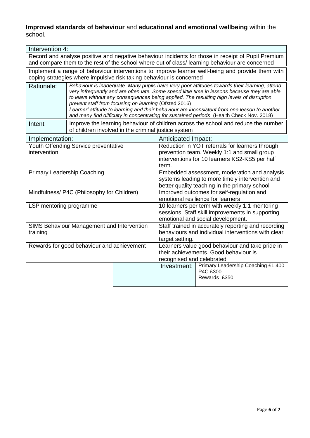## **Improved standards of behaviour** and **educational and emotional wellbeing** within the school.

|                                                                                                                                                                          | Intervention 4:                                                                                                                                                                                                                                                                                                                                                                                                                                                                                                                                 |                                                     |                                                                 |                                                                                            |  |  |  |
|--------------------------------------------------------------------------------------------------------------------------------------------------------------------------|-------------------------------------------------------------------------------------------------------------------------------------------------------------------------------------------------------------------------------------------------------------------------------------------------------------------------------------------------------------------------------------------------------------------------------------------------------------------------------------------------------------------------------------------------|-----------------------------------------------------|-----------------------------------------------------------------|--------------------------------------------------------------------------------------------|--|--|--|
| Record and analyse positive and negative behaviour incidents for those in receipt of Pupil Premium                                                                       |                                                                                                                                                                                                                                                                                                                                                                                                                                                                                                                                                 |                                                     |                                                                 |                                                                                            |  |  |  |
| and compare them to the rest of the school where out of class/learning behaviour are concerned                                                                           |                                                                                                                                                                                                                                                                                                                                                                                                                                                                                                                                                 |                                                     |                                                                 |                                                                                            |  |  |  |
| Implement a range of behaviour interventions to improve learner well-being and provide them with<br>coping strategies where impulsive risk taking behaviour is concerned |                                                                                                                                                                                                                                                                                                                                                                                                                                                                                                                                                 |                                                     |                                                                 |                                                                                            |  |  |  |
| Rationale:                                                                                                                                                               | Behaviour is inadequate. Many pupils have very poor attitudes towards their learning, attend<br>very infrequently and are often late. Some spend little time in lessons because they are able<br>to leave without any consequences being applied. The resulting high levels of disruption<br>prevent staff from focusing on learning (Ofsted 2016)<br>Learner' attitude to learning and their behaviour are inconsistent from one lesson to another<br>and many find difficulty in concentrating for sustained periods (Health Check Nov. 2018) |                                                     |                                                                 |                                                                                            |  |  |  |
| Intent                                                                                                                                                                   |                                                                                                                                                                                                                                                                                                                                                                                                                                                                                                                                                 | of children involved in the criminal justice system |                                                                 | Improve the learning behaviour of children across the school and reduce the number         |  |  |  |
| Implementation:                                                                                                                                                          |                                                                                                                                                                                                                                                                                                                                                                                                                                                                                                                                                 |                                                     | Anticipated Impact:                                             |                                                                                            |  |  |  |
|                                                                                                                                                                          | Youth Offending Service preventative                                                                                                                                                                                                                                                                                                                                                                                                                                                                                                            |                                                     | Reduction in YOT referrals for learners through                 |                                                                                            |  |  |  |
| intervention                                                                                                                                                             |                                                                                                                                                                                                                                                                                                                                                                                                                                                                                                                                                 |                                                     | prevention team. Weekly 1:1 and small group                     |                                                                                            |  |  |  |
|                                                                                                                                                                          |                                                                                                                                                                                                                                                                                                                                                                                                                                                                                                                                                 |                                                     | interventions for 10 learners KS2-KS5 per half                  |                                                                                            |  |  |  |
|                                                                                                                                                                          |                                                                                                                                                                                                                                                                                                                                                                                                                                                                                                                                                 |                                                     | term.                                                           |                                                                                            |  |  |  |
| <b>Primary Leadership Coaching</b>                                                                                                                                       |                                                                                                                                                                                                                                                                                                                                                                                                                                                                                                                                                 |                                                     |                                                                 | Embedded assessment, moderation and analysis                                               |  |  |  |
|                                                                                                                                                                          |                                                                                                                                                                                                                                                                                                                                                                                                                                                                                                                                                 |                                                     |                                                                 | systems leading to more timely intervention and                                            |  |  |  |
|                                                                                                                                                                          | Mindfulness/ P4C (Philosophy for Children)                                                                                                                                                                                                                                                                                                                                                                                                                                                                                                      |                                                     |                                                                 | better quality teaching in the primary school<br>Improved outcomes for self-regulation and |  |  |  |
|                                                                                                                                                                          |                                                                                                                                                                                                                                                                                                                                                                                                                                                                                                                                                 |                                                     |                                                                 | emotional resilience for learners                                                          |  |  |  |
| LSP mentoring programme                                                                                                                                                  |                                                                                                                                                                                                                                                                                                                                                                                                                                                                                                                                                 |                                                     |                                                                 | 10 learners per term with weekly 1:1 mentoring                                             |  |  |  |
|                                                                                                                                                                          |                                                                                                                                                                                                                                                                                                                                                                                                                                                                                                                                                 |                                                     | sessions. Staff skill improvements in supporting                |                                                                                            |  |  |  |
|                                                                                                                                                                          |                                                                                                                                                                                                                                                                                                                                                                                                                                                                                                                                                 |                                                     | emotional and social development.                               |                                                                                            |  |  |  |
|                                                                                                                                                                          | SIMS Behaviour Management and Intervention                                                                                                                                                                                                                                                                                                                                                                                                                                                                                                      |                                                     | Staff trained in accurately reporting and recording             |                                                                                            |  |  |  |
| training                                                                                                                                                                 |                                                                                                                                                                                                                                                                                                                                                                                                                                                                                                                                                 |                                                     | behaviours and individual interventions with clear              |                                                                                            |  |  |  |
|                                                                                                                                                                          |                                                                                                                                                                                                                                                                                                                                                                                                                                                                                                                                                 |                                                     | target setting.                                                 |                                                                                            |  |  |  |
|                                                                                                                                                                          | Rewards for good behaviour and achievement                                                                                                                                                                                                                                                                                                                                                                                                                                                                                                      |                                                     | Learners value good behaviour and take pride in                 |                                                                                            |  |  |  |
|                                                                                                                                                                          |                                                                                                                                                                                                                                                                                                                                                                                                                                                                                                                                                 | their achievements. Good behaviour is               |                                                                 |                                                                                            |  |  |  |
|                                                                                                                                                                          |                                                                                                                                                                                                                                                                                                                                                                                                                                                                                                                                                 |                                                     | recognised and celebrated<br>Primary Leadership Coaching £1,400 |                                                                                            |  |  |  |
|                                                                                                                                                                          |                                                                                                                                                                                                                                                                                                                                                                                                                                                                                                                                                 |                                                     | Investment:                                                     | P4C £300                                                                                   |  |  |  |
|                                                                                                                                                                          | Rewards £350                                                                                                                                                                                                                                                                                                                                                                                                                                                                                                                                    |                                                     |                                                                 |                                                                                            |  |  |  |
|                                                                                                                                                                          |                                                                                                                                                                                                                                                                                                                                                                                                                                                                                                                                                 |                                                     |                                                                 |                                                                                            |  |  |  |